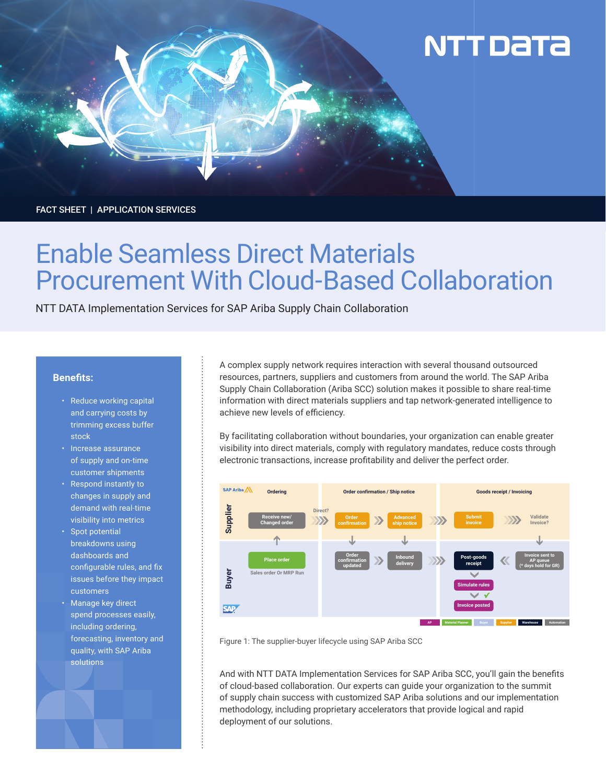# **NTT DaTa**

FACT SHEET | APPLICATION SERVICES

## Enable Seamless Direct Materials Procurement With Cloud-Based Collaboration

NTT DATA Implementation Services for SAP Ariba Supply Chain Collaboration

### **Benefits:**

- Reduce working capital and carrying costs by trimming excess buffer stock
- Increase assurance of supply and on-time customer shipments
- Respond instantly to changes in supply and demand with real-time visibility into metrics
- Spot potential breakdowns using dashboards and configurable rules, and fix issues before they impact customers
- Manage key direct spend processes easily, including ordering, forecasting, inventory and quality, with SAP Ariba solutions

A complex supply network requires interaction with several thousand outsourced resources, partners, suppliers and customers from around the world. The SAP Ariba Supply Chain Collaboration (Ariba SCC) solution makes it possible to share real-time information with direct materials suppliers and tap network-generated intelligence to achieve new levels of efficiency.

By facilitating collaboration without boundaries, your organization can enable greater visibility into direct materials, comply with regulatory mandates, reduce costs through electronic transactions, increase profitability and deliver the perfect order.



Figure 1: The supplier-buyer lifecycle using SAP Ariba SCC

And with NTT DATA Implementation Services for SAP Ariba SCC, you'll gain the benefits of cloud-based collaboration. Our experts can guide your organization to the summit of supply chain success with customized SAP Ariba solutions and our implementation methodology, including proprietary accelerators that provide logical and rapid deployment of our solutions.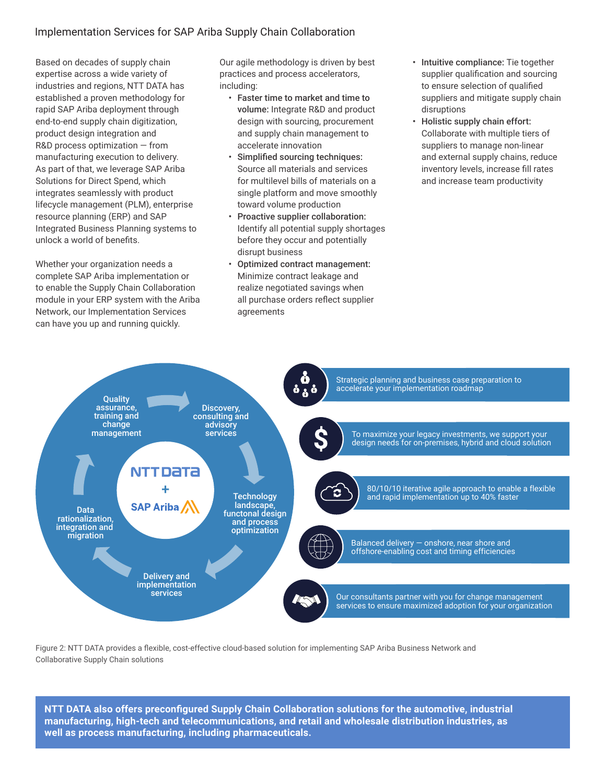## Implementation Services for SAP Ariba Supply Chain Collaboration

Based on decades of supply chain expertise across a wide variety of industries and regions, NTT DATA has established a proven methodology for rapid SAP Ariba deployment through end-to-end supply chain digitization, product design integration and R&D process optimization — from manufacturing execution to delivery. As part of that, we leverage SAP Ariba Solutions for Direct Spend, which integrates seamlessly with product lifecycle management (PLM), enterprise resource planning (ERP) and SAP Integrated Business Planning systems to unlock a world of benefits.

Whether your organization needs a complete SAP Ariba implementation or to enable the Supply Chain Collaboration module in your ERP system with the Ariba Network, our Implementation Services can have you up and running quickly.

Our agile methodology is driven by best practices and process accelerators, including:

- Faster time to market and time to volume: Integrate R&D and product design with sourcing, procurement and supply chain management to accelerate innovation
- Simplified sourcing techniques: Source all materials and services for multilevel bills of materials on a single platform and move smoothly toward volume production
- Proactive supplier collaboration: Identify all potential supply shortages before they occur and potentially disrupt business
- Optimized contract management: Minimize contract leakage and realize negotiated savings when all purchase orders reflect supplier agreements
- Intuitive compliance: Tie together supplier qualification and sourcing to ensure selection of qualified suppliers and mitigate supply chain disruptions
- Holistic supply chain effort: Collaborate with multiple tiers of suppliers to manage non-linear and external supply chains, reduce inventory levels, increase fill rates and increase team productivity



Figure 2: NTT DATA provides a flexible, cost-effective cloud-based solution for implementing SAP Ariba Business Network and Collaborative Supply Chain solutions

**NTT DATA also offers preconfigured Supply Chain Collaboration solutions for the automotive, industrial manufacturing, high-tech and telecommunications, and retail and wholesale distribution industries, as well as process manufacturing, including pharmaceuticals.**